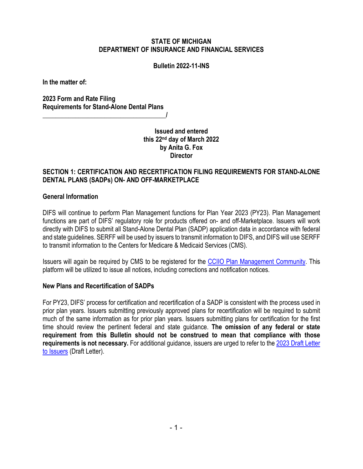#### **STATE OF MICHIGAN DEPARTMENT OF INSURANCE AND FINANCIAL SERVICES**

#### **Bulletin 2022-11-INS**

**In the matter of:**

**2023 Form and Rate Filing Requirements for Stand-Alone Dental Plans**

> **Issued and entered this 22nd day of March 2022 by Anita G. Fox Director**

 $\overline{\phantom{a}}$ 

### **SECTION 1: CERTIFICATION AND RECERTIFICATION FILING REQUIREMENTS FOR STAND-ALONE DENTAL PLANS (SADPs) ON- AND OFF-MARKETPLACE**

#### **General Information**

DIFS will continue to perform Plan Management functions for Plan Year 2023 (PY23). Plan Management functions are part of DIFS' regulatory role for products offered on- and off-Marketplace. Issuers will work directly with DIFS to submit all Stand-Alone Dental Plan (SADP) application data in accordance with federal and state guidelines. SERFF will be used by issuers to transmit information to DIFS, and DIFS will use SERFF to transmit information to the Centers for Medicare & Medicaid Services (CMS).

Issuers will again be required by CMS to be registered for the [CCIIO Plan Management Community.](https://www.qhpcertification.cms.gov/s/Plan%20Management%20Community) This platform will be utilized to issue all notices, including corrections and notification notices.

#### **New Plans and Recertification of SADPs**

For PY23, DIFS' process for certification and recertification of a SADP is consistent with the process used in prior plan years. Issuers submitting previously approved plans for recertification will be required to submit much of the same information as for prior plan years. Issuers submitting plans for certification for the first time should review the pertinent federal and state guidance. **The omission of any federal or state requirement from this Bulletin should not be construed to mean that compliance with those requirements is not necessary.** For additional guidance, issuers are urged to refer to the 2023 [Draft Letter](https://www.cms.gov/files/document/2023-draft-letter-issuers-508.pdf)  [to Issuers](https://www.cms.gov/files/document/2023-draft-letter-issuers-508.pdf) (Draft Letter).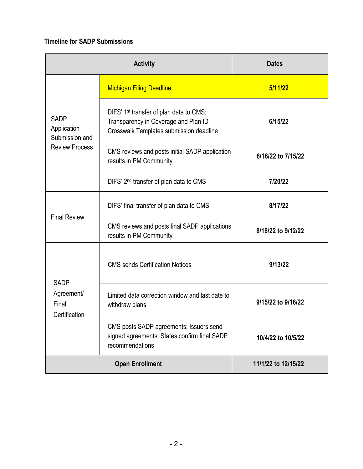# **Timeline for SADP Submissions**

| <b>Activity</b>                                                       |                                                                                                                                        | <b>Dates</b>        |
|-----------------------------------------------------------------------|----------------------------------------------------------------------------------------------------------------------------------------|---------------------|
| <b>SADP</b><br>Application<br>Submission and<br><b>Review Process</b> | <b>Michigan Filing Deadline</b>                                                                                                        | 5/11/22             |
|                                                                       | DIFS' 1 <sup>st</sup> transfer of plan data to CMS;<br>Transparency in Coverage and Plan ID<br>Crosswalk Templates submission deadline | 6/15/22             |
|                                                                       | CMS reviews and posts initial SADP application<br>results in PM Community                                                              | 6/16/22 to 7/15/22  |
|                                                                       | DIFS' 2 <sup>nd</sup> transfer of plan data to CMS                                                                                     | 7/20/22             |
| <b>Final Review</b>                                                   | DIFS' final transfer of plan data to CMS                                                                                               | 8/17/22             |
|                                                                       | CMS reviews and posts final SADP applications<br>results in PM Community                                                               | 8/18/22 to 9/12/22  |
| <b>SADP</b><br>Agreement/<br>Final<br>Certification                   | <b>CMS</b> sends Certification Notices                                                                                                 | 9/13/22             |
|                                                                       | Limited data correction window and last date to<br>withdraw plans                                                                      | 9/15/22 to 9/16/22  |
|                                                                       | CMS posts SADP agreements; Issuers send<br>signed agreements; States confirm final SADP<br>recommendations                             | 10/4/22 to 10/5/22  |
| <b>Open Enrollment</b>                                                |                                                                                                                                        | 11/1/22 to 12/15/22 |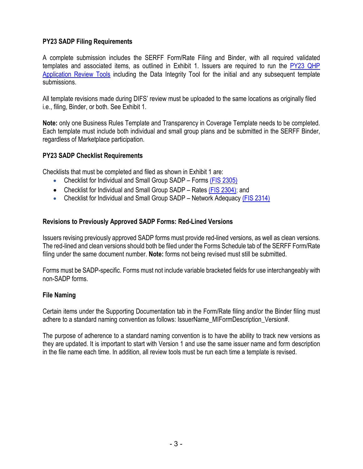### **PY23 SADP Filing Requirements**

A complete submission includes the SERFF Form/Rate Filing and Binder, with all required validated templates and associated items, as outlined in Exhibit 1. Issuers are required to run the [PY23 QHP](https://www.qhpcertification.cms.gov/s/Review%20Tools)  Application Review Tools [including the Data Integrity Tool](https://www.qhpcertification.cms.gov/s/Review%20Tools) for the initial and any subsequent template submissions.

All template revisions made during DIFS' review must be uploaded to the same locations as originally filed i.e., filing, Binder, or both. See Exhibit 1.

**Note:** only one Business Rules Template and Transparency in Coverage Template needs to be completed. Each template must include both individual and small group plans and be submitted in the SERFF Binder, regardless of Marketplace participation.

### **PY23 SADP Checklist Requirements**

Checklists that must be completed and filed as shown in Exhibit 1 are:

- Checklist for Individual and Small Group SADP Forms [\(FIS 2305\)](https://www.michigan.gov/difs/-/media/Project/Websites/difs/Form/Insurance/Insurance/FIS_2305.docx?rev=14af4b81d90b4939ae0e13355955992d)
- Checklist for Individual and Small Group SADP Rates [\(FIS 2304\);](https://www.michigan.gov/difs/-/media/Project/Websites/difs/Form/Insurance/Insurance/FIS_2304.docm?rev=daf0987d990349968a71a3217e01a9e7) and
- Checklist for Individual and Small Group SADP Network Adequacy [\(FIS 2314\)](https://www.michigan.gov/difs/-/media/Project/Websites/difs/Form/Insurance/Insurance/FIS_2314.docx?rev=2a0426f208de427291c9de5e11ace836)

### **Revisions to Previously Approved SADP Forms: Red-Lined Versions**

Issuers revising previously approved SADP forms must provide red-lined versions, as well as clean versions. The red-lined and clean versions should both be filed under the Forms Schedule tab of the SERFF Form/Rate filing under the same document number. **Note:** forms not being revised must still be submitted.

Forms must be SADP-specific. Forms must not include variable bracketed fields for use interchangeably with non-SADP forms.

### **File Naming**

Certain items under the Supporting Documentation tab in the Form/Rate filing and/or the Binder filing must adhere to a standard naming convention as follows: IssuerName MIFormDescription Version#.

The purpose of adherence to a standard naming convention is to have the ability to track new versions as they are updated. It is important to start with Version 1 and use the same issuer name and form description in the file name each time. In addition, all review tools must be run each time a template is revised.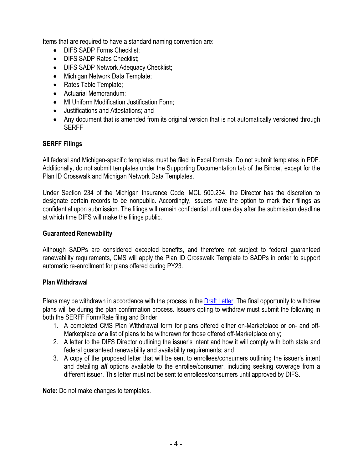Items that are required to have a standard naming convention are:

- DIFS SADP Forms Checklist;
- DIFS SADP Rates Checklist;
- DIFS SADP Network Adequacy Checklist;
- Michigan Network Data Template;
- Rates Table Template:
- Actuarial Memorandum;
- MI Uniform Modification Justification Form:
- Justifications and Attestations; and
- Any document that is amended from its original version that is not automatically versioned through **SERFF**

### **SERFF Filings**

All federal and Michigan-specific templates must be filed in Excel formats. Do not submit templates in PDF. Additionally, do not submit templates under the Supporting Documentation tab of the Binder, except for the Plan ID Crosswalk and Michigan Network Data Templates.

Under Section 234 of the Michigan Insurance Code, MCL 500.234, the Director has the discretion to designate certain records to be nonpublic. Accordingly, issuers have the option to mark their filings as confidential upon submission. The filings will remain confidential until one day after the submission deadline at which time DIFS will make the filings public.

#### **Guaranteed Renewability**

Although SADPs are considered excepted benefits, and therefore not subject to federal guaranteed renewability requirements, CMS will apply the Plan ID Crosswalk Template to SADPs in order to support automatic re-enrollment for plans offered during PY23.

#### **Plan Withdrawal**

Plans may be withdrawn in accordance with the process in the [Draft Letter.](https://www.cms.gov/files/document/2023-draft-letter-issuers-508.pdf) The final opportunity to withdraw plans will be during the plan confirmation process. Issuers opting to withdraw must submit the following in both the SERFF Form/Rate filing and Binder:

- 1. A completed CMS Plan Withdrawal form for plans offered either on-Marketplace or on- and off-Marketplace *or* a list of plans to be withdrawn for those offered off-Marketplace only;
- 2. A letter to the DIFS Director outlining the issuer's intent and how it will comply with both state and federal guaranteed renewability and availability requirements; and
- 3. A copy of the proposed letter that will be sent to enrollees/consumers outlining the issuer's intent and detailing *all* options available to the enrollee/consumer, including seeking coverage from a different issuer. This letter must not be sent to enrollees/consumers until approved by DIFS.

**Note:** Do not make changes to templates.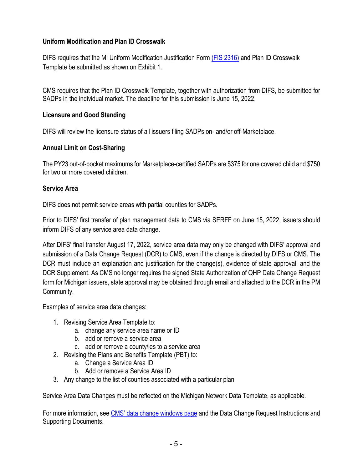# **Uniform Modification and Plan ID Crosswalk**

DIFS requires that the MI Uniform Modification Justification Form [\(FIS 2316\)](https://www.michigan.gov/difs/-/media/Project/Websites/difs/Form/Insurance/Insurance/FIS_2316.docx?rev=96c43a67421940aaa7113b93de5f7643) and Plan ID Crosswalk Template be submitted as shown on Exhibit 1.

CMS requires that the Plan ID Crosswalk Template, together with authorization from DIFS, be submitted for SADPs in the individual market. The deadline for this submission is June 15, 2022.

# **Licensure and Good Standing**

DIFS will review the licensure status of all issuers filing SADPs on- and/or off-Marketplace.

### **Annual Limit on Cost-Sharing**

The PY23 out-of-pocket maximums for Marketplace-certified SADPs are \$375 for one covered child and \$750 for two or more covered children.

### **Service Area**

DIFS does not permit service areas with partial counties for SADPs.

Prior to DIFS' first transfer of plan management data to CMS via SERFF on June 15, 2022, issuers should inform DIFS of any service area data change.

After DIFS' final transfer August 17, 2022, service area data may only be changed with DIFS' approval and submission of a Data Change Request (DCR) to CMS, even if the change is directed by DIFS or CMS. The DCR must include an explanation and justification for the change(s), evidence of state approval, and the DCR Supplement. As CMS no longer requires the signed State Authorization of QHP Data Change Request form for Michigan issuers, state approval may be obtained through email and attached to the DCR in the PM Community.

Examples of service area data changes:

- 1. Revising Service Area Template to:
	- a. change any service area name or ID
	- b. add or remove a service area
	- c. add or remove a county/ies to a service area
- 2. Revising the Plans and Benefits Template (PBT) to:
	- a. Change a Service Area ID
	- b. Add or remove a Service Area ID
- 3. Any change to the list of counties associated with a particular plan

Service Area Data Changes must be reflected on the Michigan Network Data Template, as applicable.

For more information, see [CMS' data change windows page](https://www.qhpcertification.cms.gov/s/Data%20Change%20Windows) and the Data Change Request Instructions and Supporting Documents.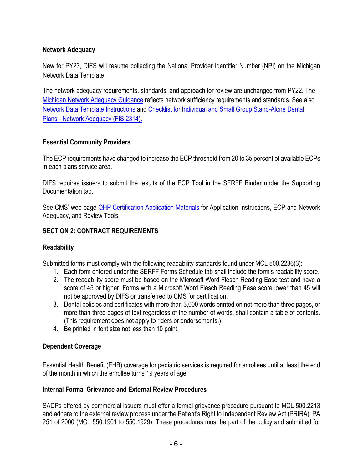# **Network Adequacy**

New for PY23, DIFS will resume collecting the National Provider Identifier Number (NPI) on the Michigan Network Data Template.

The network adequacy requirements, standards, and approach for review are unchanged from PY22. The [Michigan Network Adequacy Guidance](https://www.michigan.gov/difs/-/media/Project/Websites/difs/Form/Insurance/HMO/Network_Adequacy_Guidance.pdf?rev=e4666ad8d45a4350a046ba0ae7aec26d) reflects network sufficiency requirements and standards. See also [Network Data Template Instructions](https://www.michigan.gov/difs/-/media/Project/Websites/difs/Form/Insurance/HMO/Network_Adequacy_Guidance.pdf?rev=e4666ad8d45a4350a046ba0ae7aec26d) and [Checklist for Individual and Small Group Stand-Alone Dental](https://www.michigan.gov/difs/-/media/Project/Websites/difs/Form/Insurance/Insurance/FIS_2314.docx?rev=2a0426f208de427291c9de5e11ace836)  [Plans - Network Adequacy \(FIS 2314\).](https://www.michigan.gov/difs/-/media/Project/Websites/difs/Form/Insurance/Insurance/FIS_2314.docx?rev=2a0426f208de427291c9de5e11ace836)

### **Essential Community Providers**

The ECP requirements have changed to increase the ECP threshold from 20 to 35 percent of available ECPs in each plans service area.

DIFS requires issuers to submit the results of the ECP Tool in the SERFF Binder under the Supporting Documentation tab.

See CMS' web page **QHP Certification Application Materials** for Application Instructions, ECP and Network Adequacy, and Review Tools.

# **SECTION 2: CONTRACT REQUIREMENTS**

# **Readability**

Submitted forms must comply with the following readability standards found under MCL 500.2236(3):

- 1. Each form entered under the SERFF Forms Schedule tab shall include the form's readability score.
- 2. The readability score must be based on the Microsoft Word Flesch Reading Ease test and have a score of 45 or higher. Forms with a Microsoft Word Flesch Reading Ease score lower than 45 will not be approved by DIFS or transferred to CMS for certification.
- 3. Dental policies and certificates with more than 3,000 words printed on not more than three pages, or more than three pages of text regardless of the number of words, shall contain a table of contents. (This requirement does not apply to riders or endorsements.)
- 4. Be printed in font size not less than 10 point.

# **Dependent Coverage**

Essential Health Benefit (EHB) coverage for pediatric services is required for enrollees until at least the end of the month in which the enrollee turns 19 years of age.

### **Internal Formal Grievance and External Review Procedures**

SADPs offered by commercial issuers must offer a formal grievance procedure pursuant to MCL 500.2213 and adhere to the external review process under the Patient's Right to Independent Review Act (PRIRA), PA 251 of 2000 (MCL 550.1901 to 550.1929). These procedures must be part of the policy and submitted for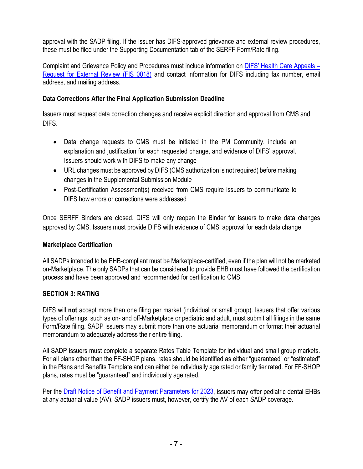approval with the SADP filing. If the issuer has DIFS-approved grievance and external review procedures, these must be filed under the Supporting Documentation tab of the SERFF Form/Rate filing.

Complaint and Grievance Policy and Procedures must include information on [DIFS' Health Care Appeals –](https://difs.state.mi.us/Complaints/ExternalReview.aspx) [Request for External Review \(FIS 0018\)](https://difs.state.mi.us/Complaints/ExternalReview.aspx) and contact information for DIFS including fax number, email address, and mailing address.

### **Data Corrections After the Final Application Submission Deadline**

Issuers must request data correction changes and receive explicit direction and approval from CMS and DIFS.

- Data change requests to CMS must be initiated in the PM Community, include an explanation and justification for each requested change, and evidence of DIFS' approval. Issuers should work with DIFS to make any change
- URL changes must be approved by DIFS (CMS authorization is not required) before making changes in the Supplemental Submission Module
- Post-Certification Assessment(s) received from CMS require issuers to communicate to DIFS how errors or corrections were addressed

Once SERFF Binders are closed, DIFS will only reopen the Binder for issuers to make data changes approved by CMS. Issuers must provide DIFS with evidence of CMS' approval for each data change.

### **Marketplace Certification**

All SADPs intended to be EHB-compliant must be Marketplace-certified, even if the plan will not be marketed on-Marketplace. The only SADPs that can be considered to provide EHB must have followed the certification process and have been approved and recommended for certification to CMS.

# **SECTION 3: RATING**

DIFS will **not** accept more than one filing per market (individual or small group). Issuers that offer various types of offerings, such as on- and off-Marketplace or pediatric and adult, must submit all filings in the same Form/Rate filing. SADP issuers may submit more than one actuarial memorandum or format their actuarial memorandum to adequately address their entire filing.

All SADP issuers must complete a separate Rates Table Template for individual and small group markets. For all plans other than the FF-SHOP plans, rates should be identified as either "guaranteed" or "estimated" in the Plans and Benefits Template and can either be individually age rated or family tier rated. For FF-SHOP plans, rates must be "guaranteed" and individually age rated.

Per the [Draft Notice of Benefit and Payment Parameters for 2023,](https://www.federalregister.gov/documents/2022/01/05/2021-28317/patient-protection-and-affordable-care-act-hhs-notice-of-benefit-and-payment-parameters-for-2023) issuers may offer pediatric dental EHBs at any actuarial value (AV). SADP issuers must, however, certify the AV of each SADP coverage.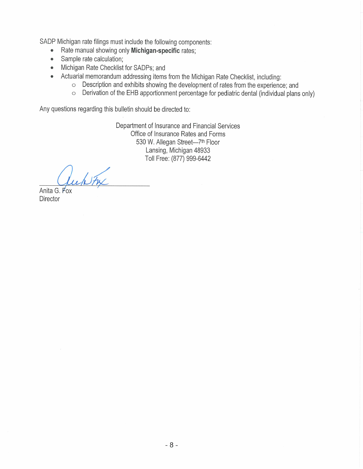SADP Michigan rate filings must include the following components:

- Rate manual showing only Michigan-specific rates;  $\bullet$
- Sample rate calculation;  $\bullet$
- Michigan Rate Checklist for SADPs; and  $\bullet$ 
	- Actuarial memorandum addressing items from the Michigan Rate Checklist, including:
		- o Description and exhibits showing the development of rates from the experience; and
		- o Derivation of the EHB apportionment percentage for pediatric dental (individual plans only)

Any questions regarding this bulletin should be directed to:

Department of Insurance and Financial Services Office of Insurance Rates and Forms 530 W. Allegan Street-7th Floor Lansing, Michigan 48933 Toll Free: (877) 999-6442

white Anita G. Fox

Director

 $\bullet$